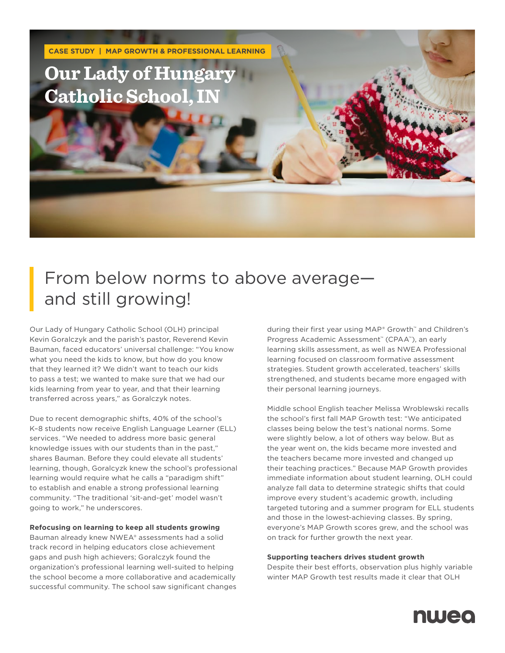

## From below norms to above average and still growing!

Our Lady of Hungary Catholic School (OLH) principal Kevin Goralczyk and the parish's pastor, Reverend Kevin Bauman, faced educators' universal challenge: "You know what you need the kids to know, but how do you know that they learned it? We didn't want to teach our kids to pass a test; we wanted to make sure that we had our kids learning from year to year, and that their learning transferred across years," as Goralczyk notes.

Due to recent demographic shifts, 40% of the school's K–8 students now receive English Language Learner (ELL) services. "We needed to address more basic general knowledge issues with our students than in the past," shares Bauman. Before they could elevate all students' learning, though, Goralcyzk knew the school's professional learning would require what he calls a "paradigm shift" to establish and enable a strong professional learning community. "The traditional 'sit-and-get' model wasn't going to work," he underscores.

## **Refocusing on learning to keep all students growing**

Bauman already knew NWEA® assessments had a solid track record in helping educators close achievement gaps and push high achievers; Goralczyk found the organization's professional learning well-suited to helping the school become a more collaborative and academically successful community. The school saw significant changes during their first year using MAP® Growth™ and Children's Progress Academic Assessment™ (CPAA™), an early learning skills assessment, as well as NWEA Professional learning focused on classroom formative assessment strategies. Student growth accelerated, teachers' skills strengthened, and students became more engaged with their personal learning journeys.

Middle school English teacher Melissa Wroblewski recalls the school's first fall MAP Growth test: "We anticipated classes being below the test's national norms. Some were slightly below, a lot of others way below. But as the year went on, the kids became more invested and the teachers became more invested and changed up their teaching practices." Because MAP Growth provides immediate information about student learning, OLH could analyze fall data to determine strategic shifts that could improve every student's academic growth, including targeted tutoring and a summer program for ELL students and those in the lowest-achieving classes. By spring, everyone's MAP Growth scores grew, and the school was on track for further growth the next year.

## **Supporting teachers drives student growth**

Despite their best efforts, observation plus highly variable winter MAP Growth test results made it clear that OLH